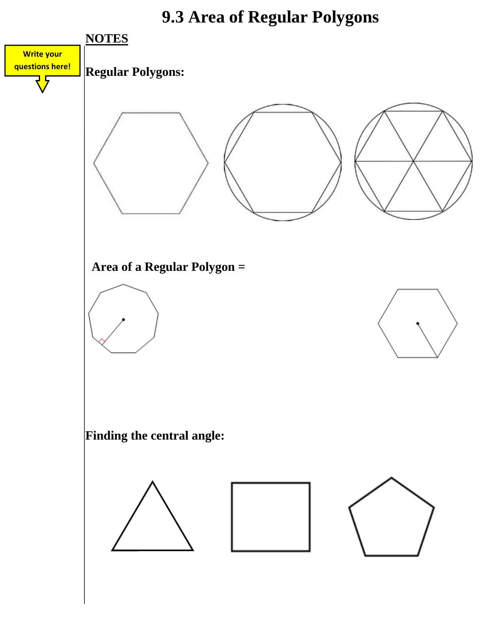### **9.3 Area of Regular Polygons**

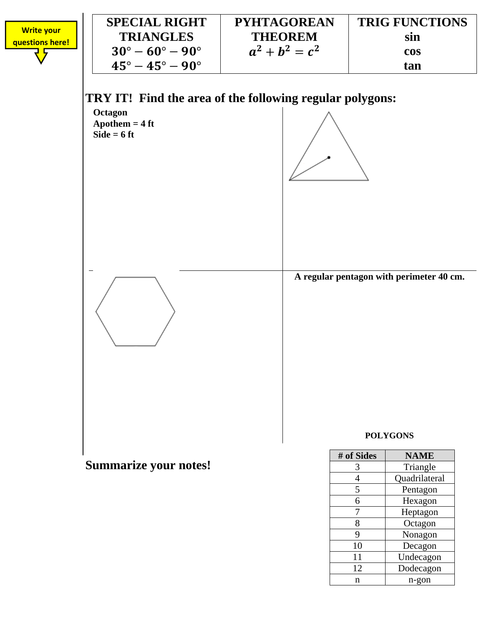



#### **Summarize your notes!**

| # of Sides | <b>NAME</b>   |
|------------|---------------|
| 3          | Triangle      |
| 4          | Quadrilateral |
| 5          | Pentagon      |
| 6          | Hexagon       |
|            | Heptagon      |
| 8          | Octagon       |
| 9          | Nonagon       |
| 10         | Decagon       |
| 11         | Undecagon     |
| 12         | Dodecagon     |
| n          | n-gon         |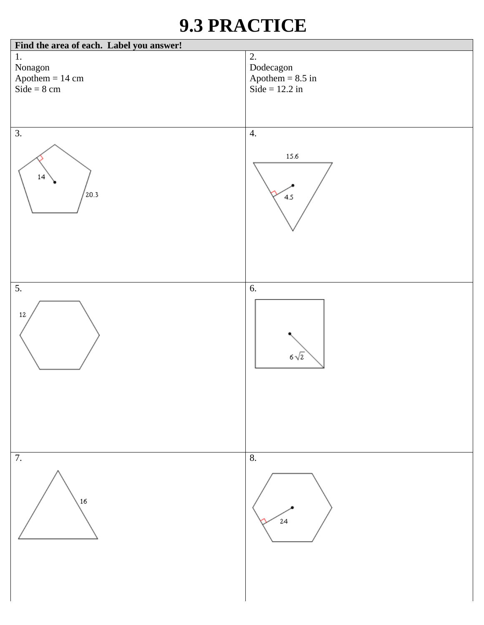## **9.3 PRACTICE**

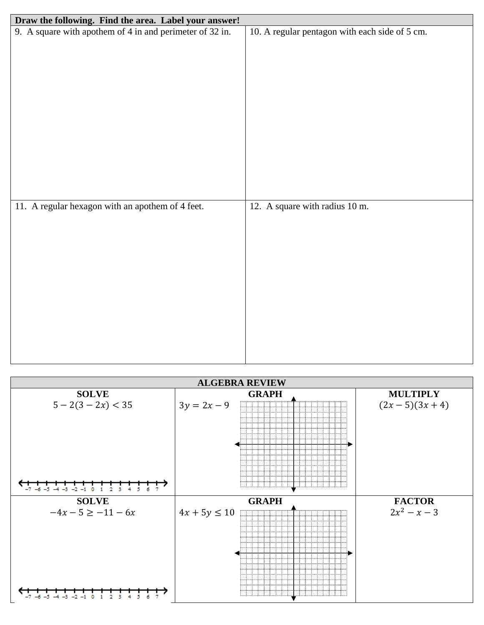| Draw the following. Find the area. Label your answer!    |                                                |
|----------------------------------------------------------|------------------------------------------------|
| 9. A square with apothem of 4 in and perimeter of 32 in. | 10. A regular pentagon with each side of 5 cm. |
|                                                          |                                                |
|                                                          |                                                |
|                                                          |                                                |
|                                                          |                                                |
|                                                          |                                                |
|                                                          |                                                |
|                                                          |                                                |
|                                                          |                                                |
|                                                          |                                                |
|                                                          |                                                |
|                                                          |                                                |
|                                                          |                                                |
| 11. A regular hexagon with an apothem of 4 feet.         | 12. A square with radius 10 m.                 |
|                                                          |                                                |
|                                                          |                                                |
|                                                          |                                                |
|                                                          |                                                |
|                                                          |                                                |
|                                                          |                                                |
|                                                          |                                                |
|                                                          |                                                |
|                                                          |                                                |
|                                                          |                                                |
|                                                          |                                                |
|                                                          |                                                |

| <b>ALGEBRA REVIEW</b>                      |                                                                                                                                                                                                                                                                                                                                                                                                                                                                                                                                                                                                                                                                 |                 |  |  |
|--------------------------------------------|-----------------------------------------------------------------------------------------------------------------------------------------------------------------------------------------------------------------------------------------------------------------------------------------------------------------------------------------------------------------------------------------------------------------------------------------------------------------------------------------------------------------------------------------------------------------------------------------------------------------------------------------------------------------|-----------------|--|--|
| <b>SOLVE</b>                               | <b>GRAPH</b>                                                                                                                                                                                                                                                                                                                                                                                                                                                                                                                                                                                                                                                    | <b>MULTIPLY</b> |  |  |
| $5 - 2(3 - 2x) < 35$<br>$-2$<br>-4<br>$-3$ | Film and the start of the start of the start of the start of the start of the start of the start of the start<br>$3y = 2x - 9$<br>.<br>.<br>.<br>Population policies and content of the policies of the policies of the policies of the policies of the policie<br>.<br>.<br>stated and stated and series to the first series of the first series of the first series of the first series o<br>a masa sa sanar<br>.<br>.<br>.<br>and the second control of the second control of the second control of the second control of the second control of the second control of the second control of the second control of the second control of the second control o | $(2x-5)(3x+4)$  |  |  |
| <b>SOLVE</b>                               | <b>GRAPH</b>                                                                                                                                                                                                                                                                                                                                                                                                                                                                                                                                                                                                                                                    | <b>FACTOR</b>   |  |  |
| $-4x - 5 \ge -11 - 6x$                     | $4x + 5y \le 10$<br><b>FILLER PERSONAL PROPERTY</b><br>医心脏心脏心脏心脏心脏心脏<br>1 - 1 - 1 - 1 - 1 - 1 - 1 - 1 - 1<br>na na na na na na n<br>[이번에 이번에 이번에 이번에 이번에 이번에 이번에 이번에 있다]<br>法不能 法不能 法不能<br>.<br>" 아이는 아이는 아이들이 아이는 아이들이 아이들이 아이들이 있다.<br>.<br>しゅうはいはいはいはいは<br>- 11<br>- 11<br>strististore<br>inininininini<br>はいはいはいはいはいはいはい<br>法不法不法不法不法不法不法<br>drininini<br>and a configuration of a configuration of a configuration of                                                                                                                                                                                                                                     | $2x^2 - x - 3$  |  |  |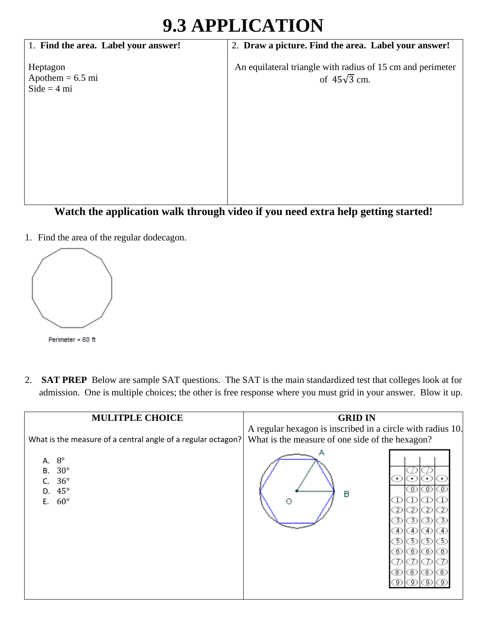# **9.3 APPLICATION**

| 1. Find the area. Label your answer!            | 2. Draw a picture. Find the area. Label your answer!                              |
|-------------------------------------------------|-----------------------------------------------------------------------------------|
| Heptagon<br>Apothem $= 6.5$ mi<br>$Side = 4 mi$ | An equilateral triangle with radius of 15 cm and perimeter<br>of $45\sqrt{3}$ cm. |
|                                                 |                                                                                   |
|                                                 |                                                                                   |
|                                                 |                                                                                   |
|                                                 |                                                                                   |

#### **Watch the application walk through video if you need extra help getting started!**

1. Find the area of the regular dodecagon.



2. **SAT PREP** Below are sample SAT questions. The SAT is the main standardized test that colleges look at for admission. One is multiple choices; the other is free response where you must grid in your answer. Blow it up.

| <b>MULITPLE CHOICE</b>                                                                              | <b>GRID IN</b>                                                                                                |
|-----------------------------------------------------------------------------------------------------|---------------------------------------------------------------------------------------------------------------|
| What is the measure of a central angle of a regular octagon?                                        | A regular hexagon is inscribed in a circle with radius 10.<br>What is the measure of one side of the hexagon? |
| $8^{\circ}$<br>А.<br>$30^{\circ}$<br>В.<br>$36^{\circ}$<br>$45^{\circ}$<br>D.<br>$60^{\circ}$<br>Ε. | 0.<br>в<br>3)<br>- 3><br>-3<br>4)<br>⊕<br>$-4$ .<br>5)<br>5)<br>э<br>60(6)<br>0<br>O<br>B (8) (8)<br>(8)      |